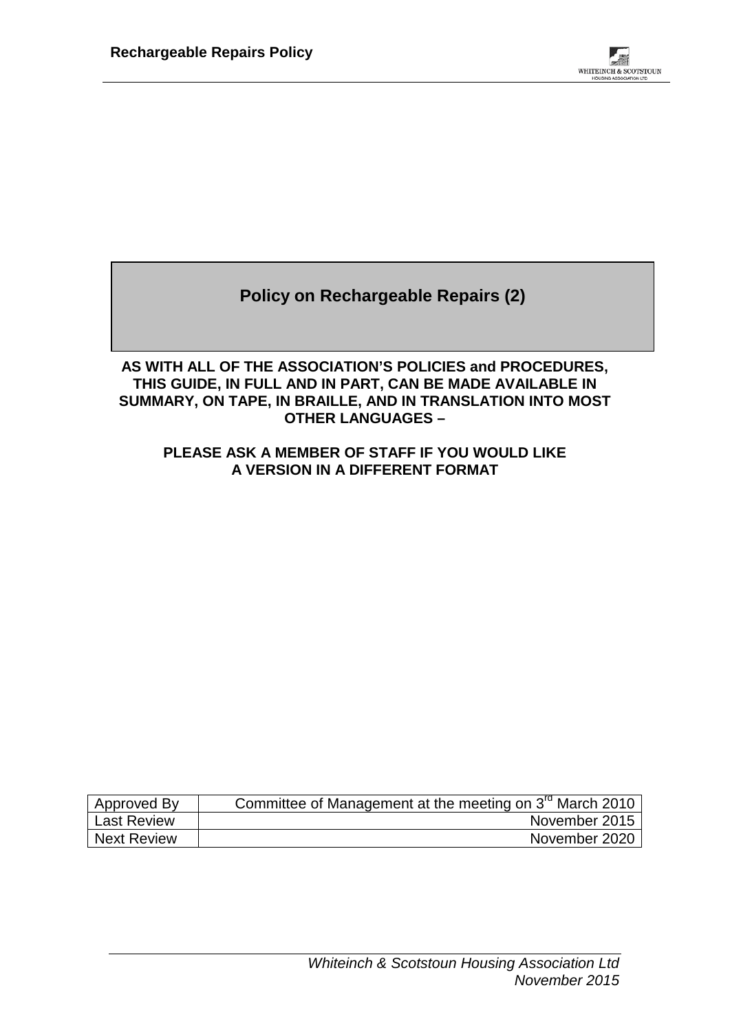

**Policy on Rechargeable Repairs (2)**

### **AS WITH ALL OF THE ASSOCIATION'S POLICIES and PROCEDURES, THIS GUIDE, IN FULL AND IN PART, CAN BE MADE AVAILABLE IN SUMMARY, ON TAPE, IN BRAILLE, AND IN TRANSLATION INTO MOST OTHER LANGUAGES –**

### **PLEASE ASK A MEMBER OF STAFF IF YOU WOULD LIKE A VERSION IN A DIFFERENT FORMAT**

| Approved By        | Committee of Management at the meeting on 3 <sup>rd</sup> March 2010 |
|--------------------|----------------------------------------------------------------------|
| <b>Last Review</b> | November 2015                                                        |
| <b>Next Review</b> | November 2020                                                        |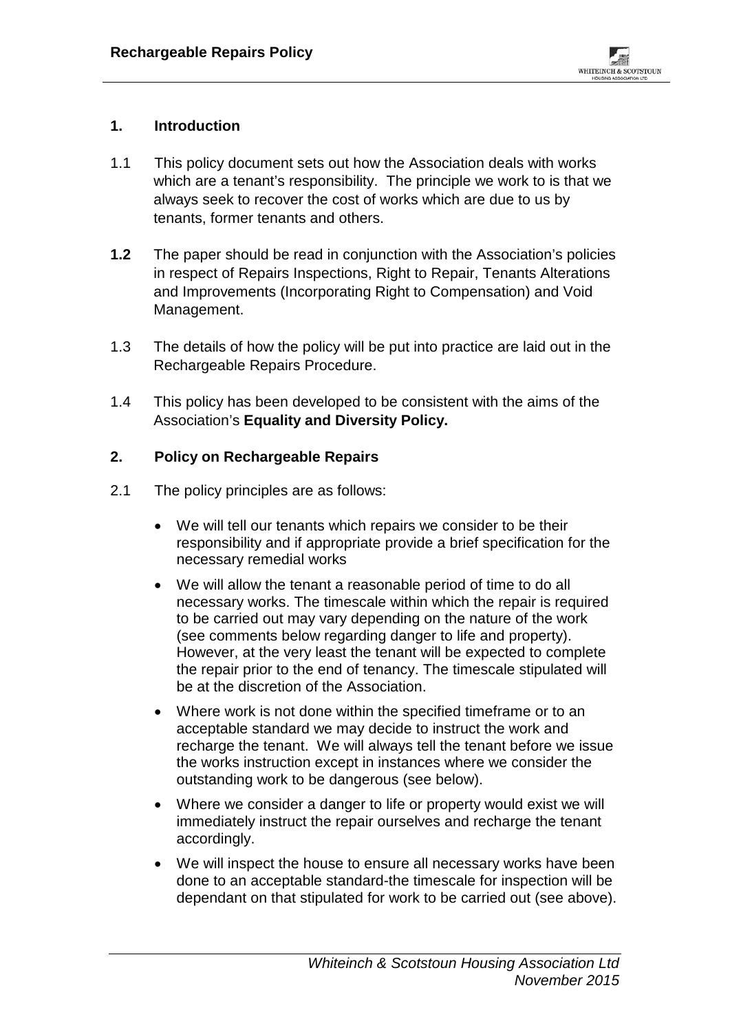# **1. Introduction**

- 1.1 This policy document sets out how the Association deals with works which are a tenant's responsibility. The principle we work to is that we always seek to recover the cost of works which are due to us by tenants, former tenants and others.
- **1.2** The paper should be read in conjunction with the Association's policies in respect of Repairs Inspections, Right to Repair, Tenants Alterations and Improvements (Incorporating Right to Compensation) and Void Management.
- 1.3 The details of how the policy will be put into practice are laid out in the Rechargeable Repairs Procedure.
- 1.4 This policy has been developed to be consistent with the aims of the Association's **Equality and Diversity Policy.**

## **2. Policy on Rechargeable Repairs**

- 2.1 The policy principles are as follows:
	- We will tell our tenants which repairs we consider to be their responsibility and if appropriate provide a brief specification for the necessary remedial works
	- We will allow the tenant a reasonable period of time to do all necessary works. The timescale within which the repair is required to be carried out may vary depending on the nature of the work (see comments below regarding danger to life and property). However, at the very least the tenant will be expected to complete the repair prior to the end of tenancy. The timescale stipulated will be at the discretion of the Association.
	- Where work is not done within the specified timeframe or to an acceptable standard we may decide to instruct the work and recharge the tenant. We will always tell the tenant before we issue the works instruction except in instances where we consider the outstanding work to be dangerous (see below).
	- Where we consider a danger to life or property would exist we will immediately instruct the repair ourselves and recharge the tenant accordingly.
	- We will inspect the house to ensure all necessary works have been done to an acceptable standard-the timescale for inspection will be dependant on that stipulated for work to be carried out (see above).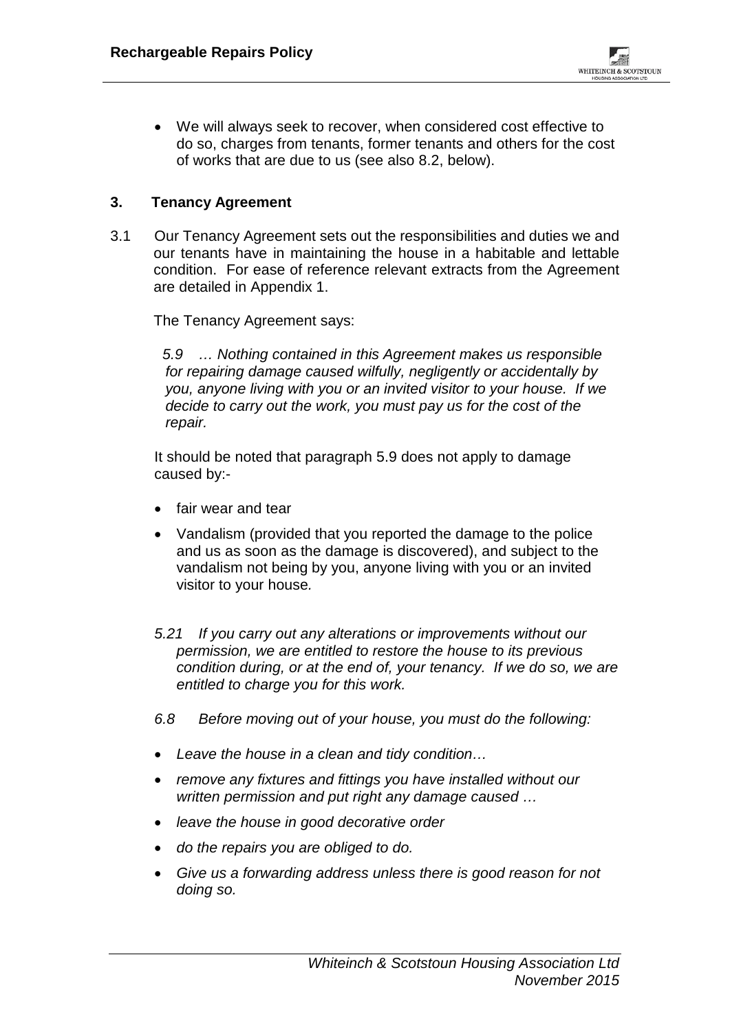• We will always seek to recover, when considered cost effective to do so, charges from tenants, former tenants and others for the cost of works that are due to us (see also 8.2, below).

# **3. Tenancy Agreement**

3.1 Our Tenancy Agreement sets out the responsibilities and duties we and our tenants have in maintaining the house in a habitable and lettable condition. For ease of reference relevant extracts from the Agreement are detailed in Appendix 1.

The Tenancy Agreement says:

*5.9 … Nothing contained in this Agreement makes us responsible for repairing damage caused wilfully, negligently or accidentally by you, anyone living with you or an invited visitor to your house. If we decide to carry out the work, you must pay us for the cost of the repair.* 

It should be noted that paragraph 5.9 does not apply to damage caused by:-

- fair wear and tear
- Vandalism (provided that you reported the damage to the police and us as soon as the damage is discovered), and subject to the vandalism not being by you, anyone living with you or an invited visitor to your house*.*
- *5.21 If you carry out any alterations or improvements without our permission, we are entitled to restore the house to its previous condition during, or at the end of, your tenancy. If we do so, we are entitled to charge you for this work.*
- *6.8 Before moving out of your house, you must do the following:*
- *Leave the house in a clean and tidy condition…*
- *remove any fixtures and fittings you have installed without our written permission and put right any damage caused …*
- *leave the house in good decorative order*
- *do the repairs you are obliged to do.*
- *Give us a forwarding address unless there is good reason for not doing so.*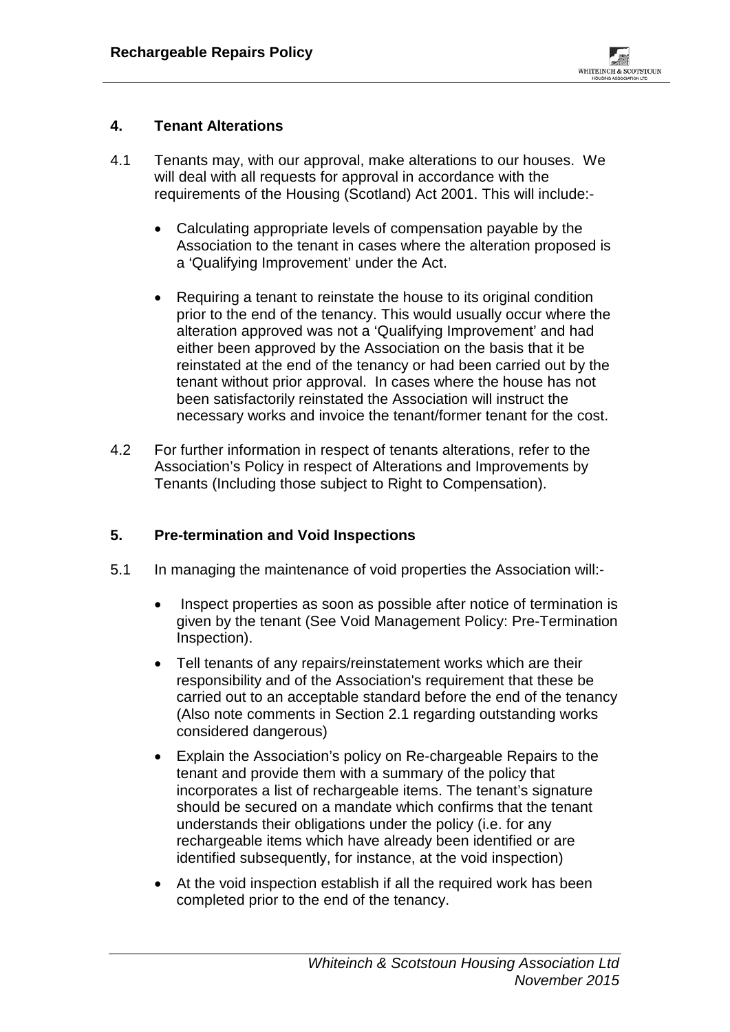### **4. Tenant Alterations**

- 4.1 Tenants may, with our approval, make alterations to our houses. We will deal with all requests for approval in accordance with the requirements of the Housing (Scotland) Act 2001. This will include:-
	- Calculating appropriate levels of compensation payable by the Association to the tenant in cases where the alteration proposed is a 'Qualifying Improvement' under the Act.
	- Requiring a tenant to reinstate the house to its original condition prior to the end of the tenancy. This would usually occur where the alteration approved was not a 'Qualifying Improvement' and had either been approved by the Association on the basis that it be reinstated at the end of the tenancy or had been carried out by the tenant without prior approval. In cases where the house has not been satisfactorily reinstated the Association will instruct the necessary works and invoice the tenant/former tenant for the cost.
- 4.2 For further information in respect of tenants alterations, refer to the Association's Policy in respect of Alterations and Improvements by Tenants (Including those subject to Right to Compensation).

## **5. Pre-termination and Void Inspections**

- 5.1 In managing the maintenance of void properties the Association will:-
	- Inspect properties as soon as possible after notice of termination is given by the tenant (See Void Management Policy: Pre-Termination Inspection).
	- Tell tenants of any repairs/reinstatement works which are their responsibility and of the Association's requirement that these be carried out to an acceptable standard before the end of the tenancy (Also note comments in Section 2.1 regarding outstanding works considered dangerous)
	- Explain the Association's policy on Re-chargeable Repairs to the tenant and provide them with a summary of the policy that incorporates a list of rechargeable items. The tenant's signature should be secured on a mandate which confirms that the tenant understands their obligations under the policy (i.e. for any rechargeable items which have already been identified or are identified subsequently, for instance, at the void inspection)
	- At the void inspection establish if all the required work has been completed prior to the end of the tenancy.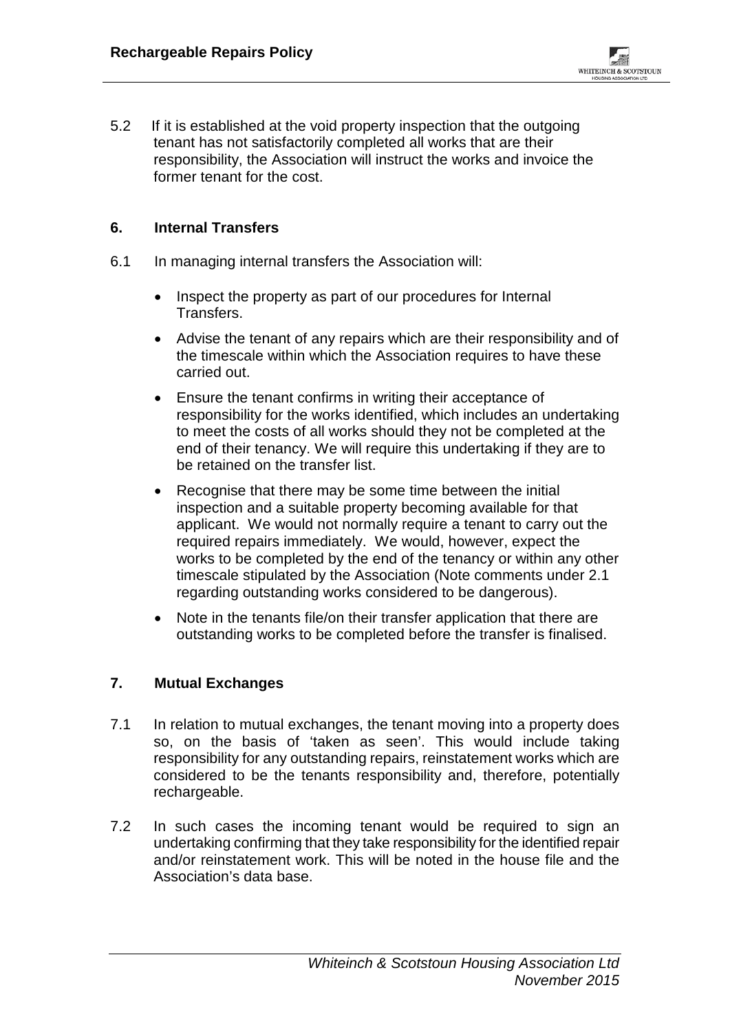5.2 If it is established at the void property inspection that the outgoing tenant has not satisfactorily completed all works that are their responsibility, the Association will instruct the works and invoice the former tenant for the cost.

### **6. Internal Transfers**

- 6.1 In managing internal transfers the Association will:
	- Inspect the property as part of our procedures for Internal Transfers.
	- Advise the tenant of any repairs which are their responsibility and of the timescale within which the Association requires to have these carried out.
	- Ensure the tenant confirms in writing their acceptance of responsibility for the works identified, which includes an undertaking to meet the costs of all works should they not be completed at the end of their tenancy. We will require this undertaking if they are to be retained on the transfer list.
	- Recognise that there may be some time between the initial inspection and a suitable property becoming available for that applicant. We would not normally require a tenant to carry out the required repairs immediately. We would, however, expect the works to be completed by the end of the tenancy or within any other timescale stipulated by the Association (Note comments under 2.1 regarding outstanding works considered to be dangerous).
	- Note in the tenants file/on their transfer application that there are outstanding works to be completed before the transfer is finalised.

#### **7. Mutual Exchanges**

- 7.1 In relation to mutual exchanges, the tenant moving into a property does so, on the basis of 'taken as seen'. This would include taking responsibility for any outstanding repairs, reinstatement works which are considered to be the tenants responsibility and, therefore, potentially rechargeable.
- 7.2 In such cases the incoming tenant would be required to sign an undertaking confirming that they take responsibility for the identified repair and/or reinstatement work. This will be noted in the house file and the Association's data base.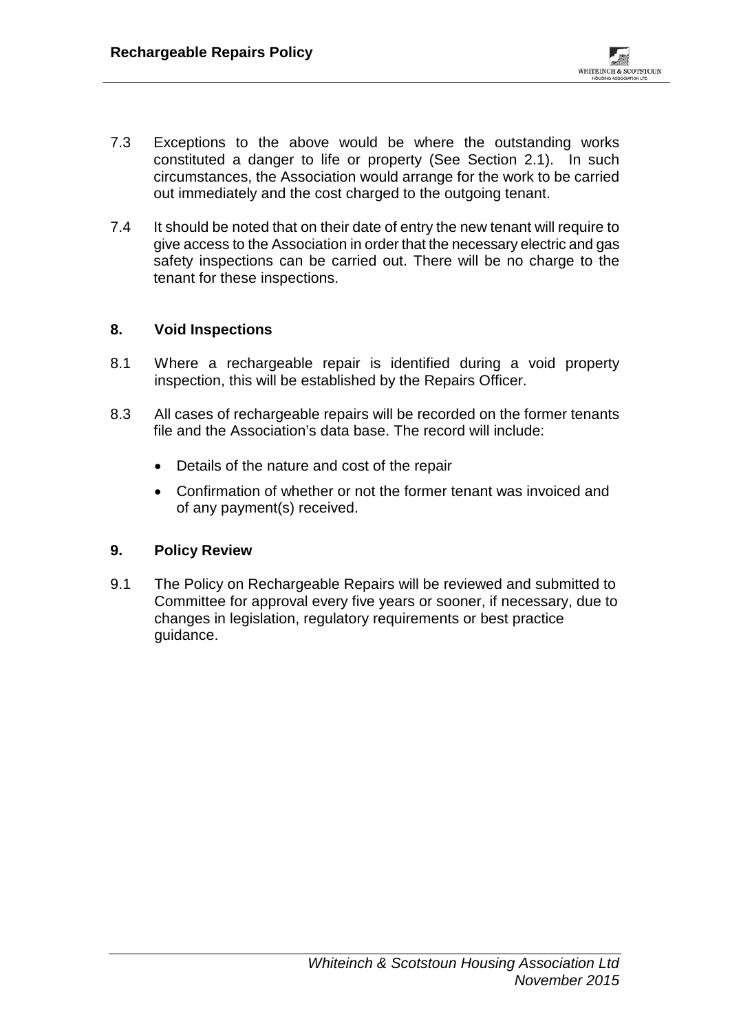- 7.3 Exceptions to the above would be where the outstanding works constituted a danger to life or property (See Section 2.1). In such circumstances, the Association would arrange for the work to be carried out immediately and the cost charged to the outgoing tenant.
- 7.4 It should be noted that on their date of entry the new tenant will require to give access to the Association in order that the necessary electric and gas safety inspections can be carried out. There will be no charge to the tenant for these inspections.

### **8. Void Inspections**

- 8.1 Where a rechargeable repair is identified during a void property inspection, this will be established by the Repairs Officer.
- 8.3 All cases of rechargeable repairs will be recorded on the former tenants file and the Association's data base. The record will include:
	- Details of the nature and cost of the repair
	- Confirmation of whether or not the former tenant was invoiced and of any payment(s) received.

#### **9. Policy Review**

9.1 The Policy on Rechargeable Repairs will be reviewed and submitted to Committee for approval every five years or sooner, if necessary, due to changes in legislation, regulatory requirements or best practice guidance.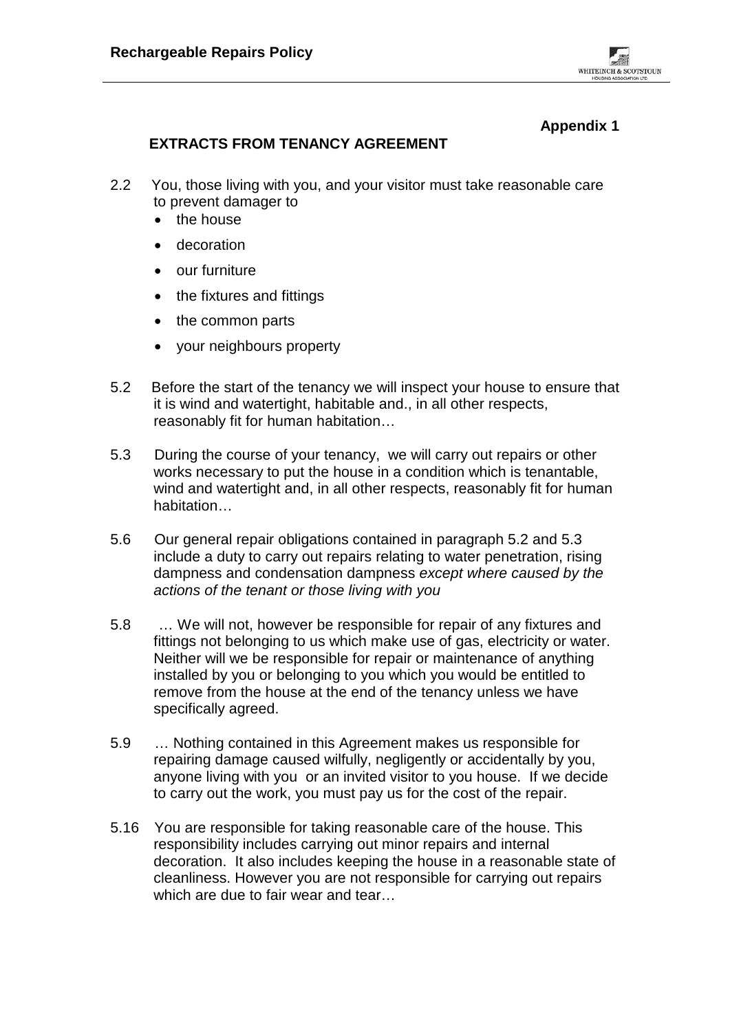## **Appendix 1**

# **EXTRACTS FROM TENANCY AGREEMENT**

- 2.2 You, those living with you, and your visitor must take reasonable care to prevent damager to
	- the house
	- decoration
	- our furniture
	- the fixtures and fittings
	- the common parts
	- your neighbours property
- 5.2 Before the start of the tenancy we will inspect your house to ensure that it is wind and watertight, habitable and., in all other respects, reasonably fit for human habitation…
- 5.3 During the course of your tenancy, we will carry out repairs or other works necessary to put the house in a condition which is tenantable, wind and watertight and, in all other respects, reasonably fit for human habitation…
- 5.6 Our general repair obligations contained in paragraph 5.2 and 5.3 include a duty to carry out repairs relating to water penetration, rising dampness and condensation dampness *except where caused by the actions of the tenant or those living with you*
- 5.8 … We will not, however be responsible for repair of any fixtures and fittings not belonging to us which make use of gas, electricity or water. Neither will we be responsible for repair or maintenance of anything installed by you or belonging to you which you would be entitled to remove from the house at the end of the tenancy unless we have specifically agreed.
- 5.9 … Nothing contained in this Agreement makes us responsible for repairing damage caused wilfully, negligently or accidentally by you, anyone living with you or an invited visitor to you house. If we decide to carry out the work, you must pay us for the cost of the repair.
- 5.16 You are responsible for taking reasonable care of the house. This responsibility includes carrying out minor repairs and internal decoration. It also includes keeping the house in a reasonable state of cleanliness. However you are not responsible for carrying out repairs which are due to fair wear and tear…